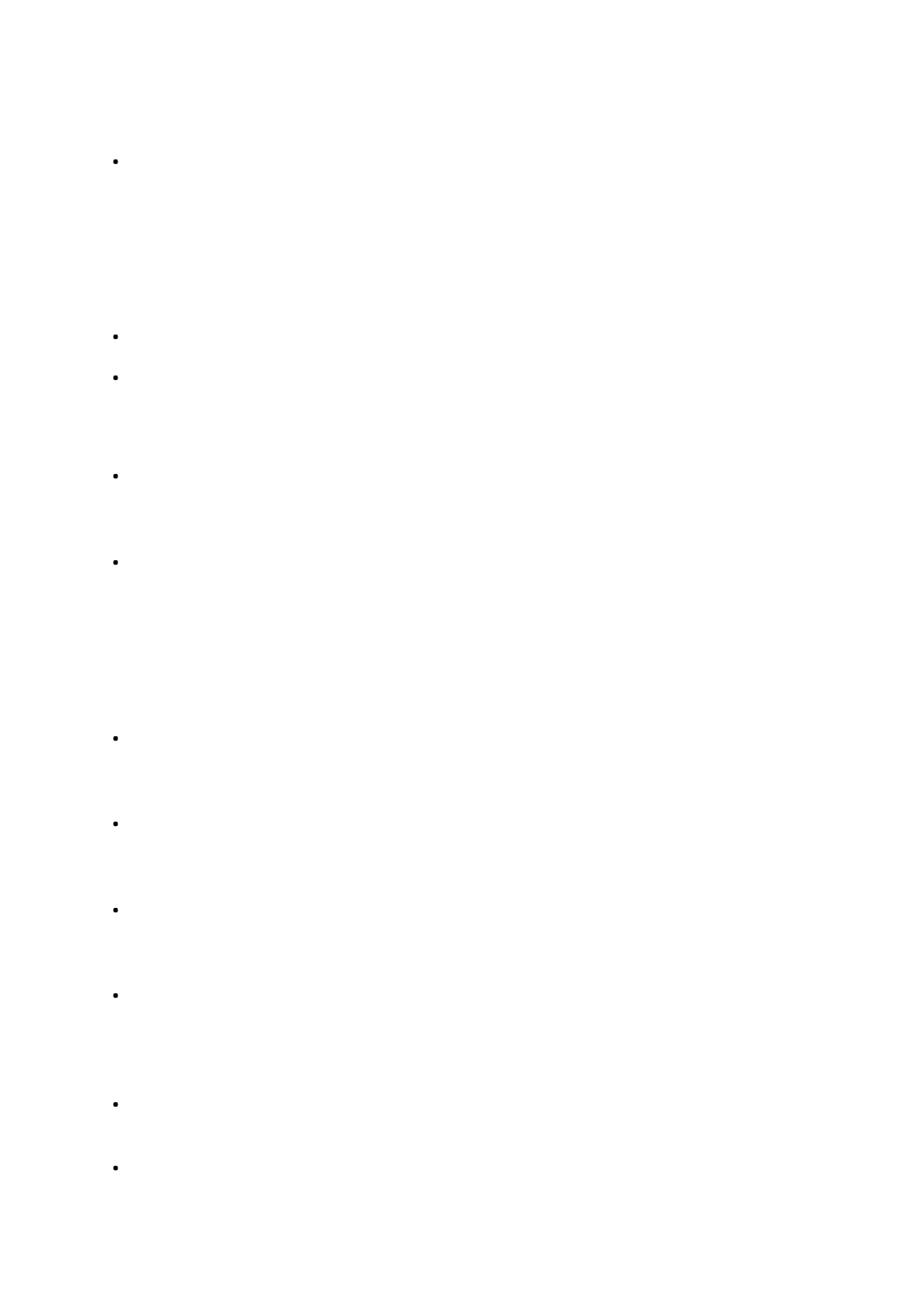child's immature and growing body.

. Emotional Abuse: the persistent emotional ill treatment of a young person, likely to cause severe and lasting adverse effects on the child's emotional development. It may involve telling a young person they are useless, worthless, unloved, inadequate or valued in terms of only meeting the needs of another person. It may feature expectations of young people that are not appropriate to their age or development. It may cause a young person to be frightened or in danger by being constantly shouted at, threatened or taunted which may make the young person frightened or withdrawn.

. Ill treatment of children, whatever form it takes, will always feature a degree of emotional abuse.

. Emotional abuse in filming may occur when a young person is asked to relate unpleasant experiences or make self-incriminating statements on video or audio recordings, or is expected to perform at levels that are above their capability.

. Other forms of emotional abuse could take the form of allowing children or young people to undermine their own dignity by recording them name calling, bullying or using the camera or audio recordings to spread rumours.

. Planned Industry filming shoots will be designed to prevent children and young people from disclosing information that could be held against them at any time in the future (e.g. lead to future employment discrimination), or cause them future discomfort or embarrassment (ghosts that come back to haunt them).

During film editing, further scrutiny will be applied to ensure all material which could cause children or young people under 18 discomfort, embarrassment or future negative repercussions, is excluded from the film.

. Bullying may come from another young person or an adult. Bullying is defined as deliberate hurtful behaviour, usually repeated over a period of time, where it is difficult for those bullied to defend themselves. There are four main types of bullying.

. It may be physical (e.g., hitting, kicking, slapping), verbal (e.g., racist or homophobic remarks, name calling, graffiti, threats, abusive text messages), emotional (e.g., tormenting, ridiculing, humiliating, ignoring, isolating form the group), or sexual (e.g., unwanted physical contact or abusive comments).

. In the media, bullying may arise when a parent or film maker (producer, director, camera or audio operator) pushes the young person too hard to disclose certain information or perform to a desired standard.

. Neglect occurs when an adult fails to meet the young person's basic physical and/or psychological needs, to an extent that is likely to result in serious impairment of the child's health or development. For example, failing to provide adequate food, shelter and clothing, failing to protect from physical harm or danger, or failing to ensure access to appropriate medical care or treatment.

. Neglect in interviewing and filming could occur when the personnel present do not keep the young person/people safe, or expose them to undue cold/heat or unnecessary risk of injury.

. Sexual Abuse occurs when adults (male and female) use children to meet their own sexual needs.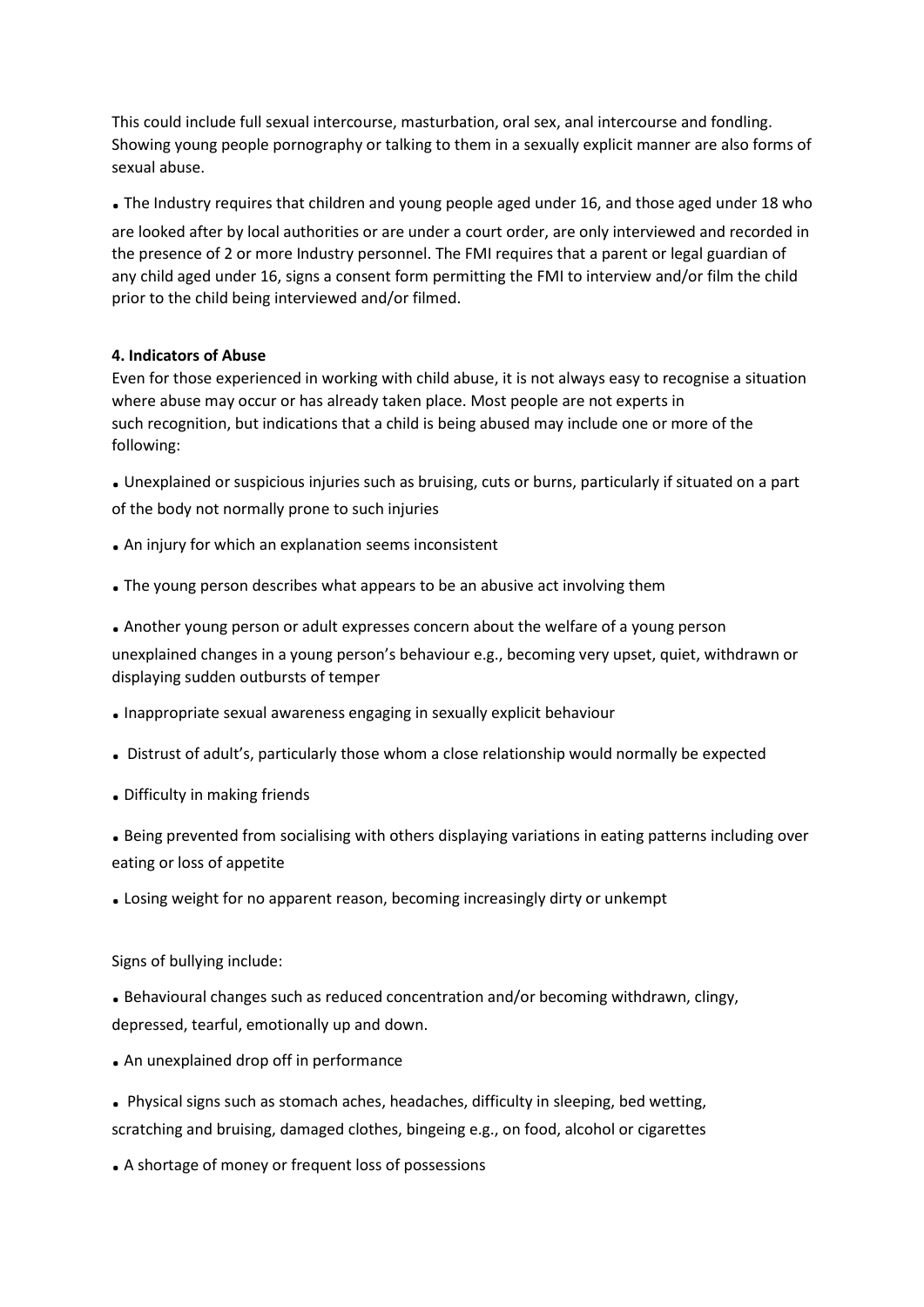This could include full sexual intercourse, masturbation, oral sex, anal intercourse and fondling. Showing young people pornography or talking to them in a sexually explicit manner are also forms of sexual abuse.

. The Industry requires that children and young people aged under 16, and those aged under 18 who

are looked after by local authorities or are under a court order, are only interviewed and recorded in the presence of 2 or more Industry personnel. The FMI requires that a parent or legal guardian of any child aged under 16, signs a consent form permitting the FMI to interview and/or film the child prior to the child being interviewed and/or filmed.

## 4. Indicators of Abuse

Even for those experienced in working with child abuse, it is not always easy to recognise a situation where abuse may occur or has already taken place. Most people are not experts in such recognition, but indications that a child is being abused may include one or more of the following:

. Unexplained or suspicious injuries such as bruising, cuts or burns, particularly if situated on a part of the body not normally prone to such injuries

- . An injury for which an explanation seems inconsistent
- . The young person describes what appears to be an abusive act involving them
- . Another young person or adult expresses concern about the welfare of a young person

unexplained changes in a young person's behaviour e.g., becoming very upset, quiet, withdrawn or displaying sudden outbursts of temper

- .Inappropriate sexual awareness engaging in sexually explicit behaviour
- . Distrust of adult's, particularly those whom a close relationship would normally be expected
- . Difficulty in making friends

. Being prevented from socialising with others displaying variations in eating patterns including over eating or loss of appetite

. Losing weight for no apparent reason, becoming increasingly dirty or unkempt

Signs of bullying include:

. Behavioural changes such as reduced concentration and/or becoming withdrawn, clingy, depressed, tearful, emotionally up and down.

. An unexplained drop off in performance

. Physical signs such as stomach aches, headaches, difficulty in sleeping, bed wetting, scratching and bruising, damaged clothes, bingeing e.g., on food, alcohol or cigarettes

. A shortage of money or frequent loss of possessions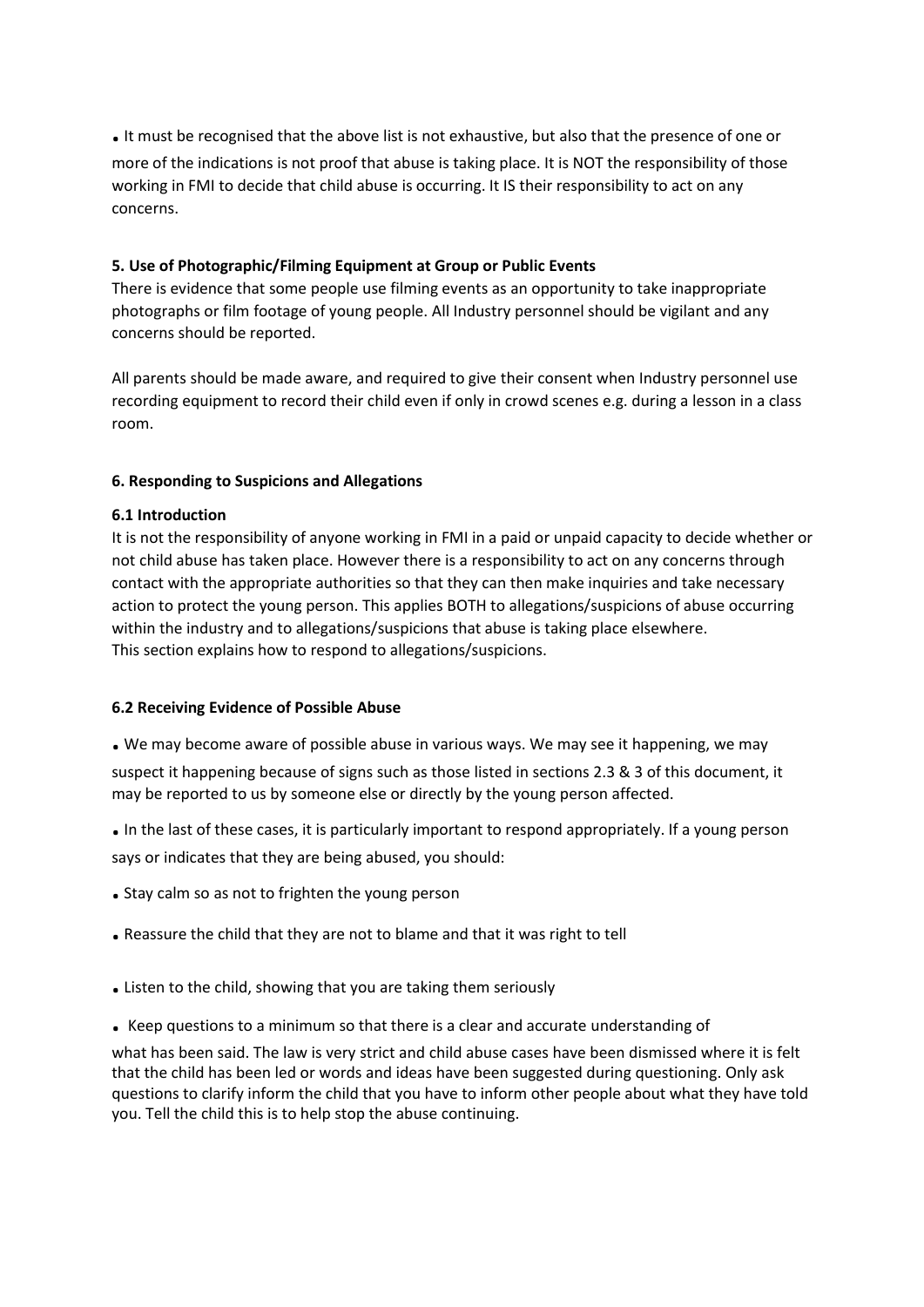. It must be recognised that the above list is not exhaustive, but also that the presence of one or more of the indications is not proof that abuse is taking place. It is NOT the responsibility of those working in FMI to decide that child abuse is occurring. It IS their responsibility to act on any concerns.

## 5. Use of Photographic/Filming Equipment at Group or Public Events

There is evidence that some people use filming events as an opportunity to take inappropriate photographs or film footage of young people. All Industry personnel should be vigilant and any concerns should be reported.

All parents should be made aware, and required to give their consent when Industry personnel use recording equipment to record their child even if only in crowd scenes e.g. during a lesson in a class room.

## 6. Responding to Suspicions and Allegations

#### 6.1 Introduction

It is not the responsibility of anyone working in FMI in a paid or unpaid capacity to decide whether or not child abuse has taken place. However there is a responsibility to act on any concerns through contact with the appropriate authorities so that they can then make inquiries and take necessary action to protect the young person. This applies BOTH to allegations/suspicions of abuse occurring within the industry and to allegations/suspicions that abuse is taking place elsewhere. This section explains how to respond to allegations/suspicions.

#### 6.2 Receiving Evidence of Possible Abuse

. We may become aware of possible abuse in various ways. We may see it happening, we may suspect it happening because of signs such as those listed in sections 2.3 & 3 of this document, it may be reported to us by someone else or directly by the young person affected.

.In the last of these cases, it is particularly important to respond appropriately. If a young person says or indicates that they are being abused, you should:

- . Stay calm so as not to frighten the young person
- . Reassure the child that they are not to blame and that it was right to tell
- . Listen to the child, showing that you are taking them seriously
- . Keep questions to a minimum so that there is a clear and accurate understanding of

what has been said. The law is very strict and child abuse cases have been dismissed where it is felt that the child has been led or words and ideas have been suggested during questioning. Only ask questions to clarify inform the child that you have to inform other people about what they have told you. Tell the child this is to help stop the abuse continuing.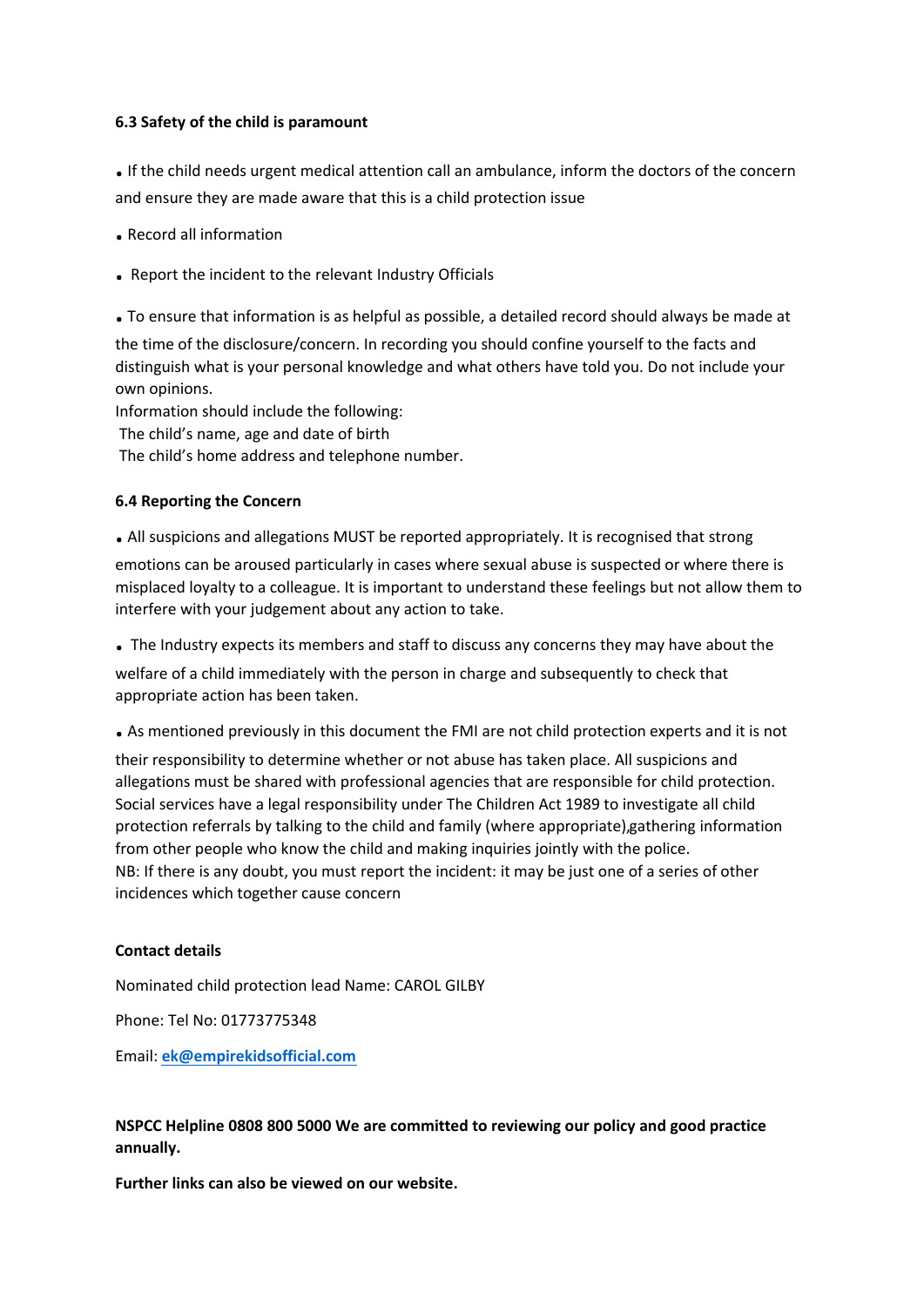#### 6.3 Safety of the child is paramount

.If the child needs urgent medical attention call an ambulance, inform the doctors of the concern and ensure they are made aware that this is a child protection issue

- . Record all information
- . Report the incident to the relevant Industry Officials
- . To ensure that information is as helpful as possible, a detailed record should always be made at

the time of the disclosure/concern. In recording you should confine yourself to the facts and distinguish what is your personal knowledge and what others have told you. Do not include your own opinions.

Information should include the following:

The child's name, age and date of birth

The child's home address and telephone number.

## 6.4 Reporting the Concern

. All suspicions and allegations MUST be reported appropriately. It is recognised that strong emotions can be aroused particularly in cases where sexual abuse is suspected or where there is misplaced loyalty to a colleague. It is important to understand these feelings but not allow them to interfere with your judgement about any action to take.

. The Industry expects its members and staff to discuss any concerns they may have about the

welfare of a child immediately with the person in charge and subsequently to check that appropriate action has been taken.

. As mentioned previously in this document the FMI are not child protection experts and it is not

their responsibility to determine whether or not abuse has taken place. All suspicions and allegations must be shared with professional agencies that are responsible for child protection. Social services have a legal responsibility under The Children Act 1989 to investigate all child protection referrals by talking to the child and family (where appropriate), gathering information from other people who know the child and making inquiries jointly with the police. NB: If there is any doubt, you must report the incident: it may be just one of a series of other incidences which together cause concern

## Contact details

Nominated child protection lead Name: CAROL GILBY

Phone: Tel No: 01773775348

Email: ek@empirekidsofficial.com

# NSPCC Helpline 0808 800 5000 We are committed to reviewing our policy and good practice annually.

Further links can also be viewed on our website.